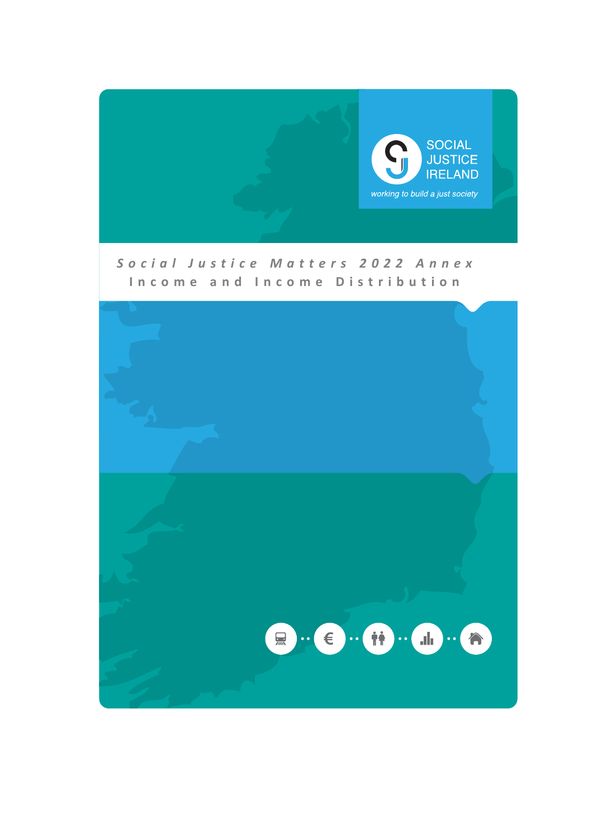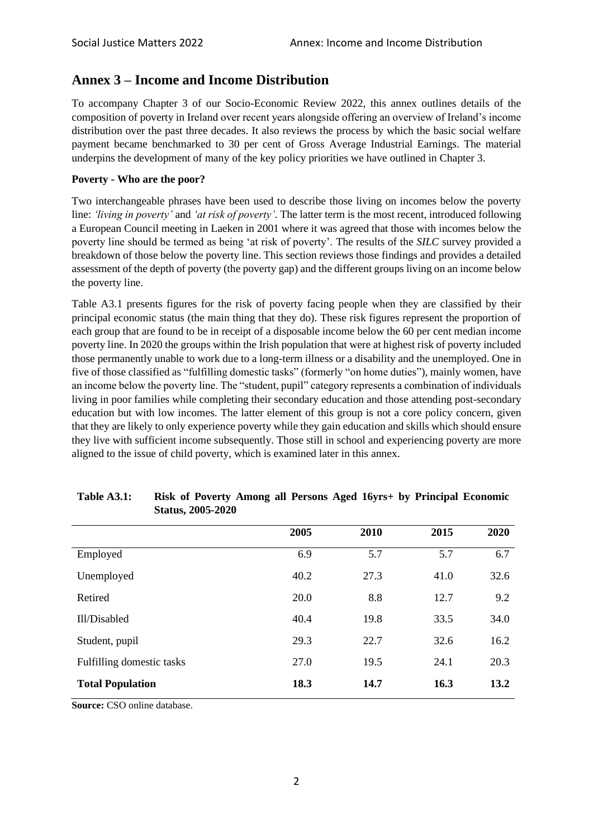# **Annex 3 – Income and Income Distribution**

To accompany Chapter 3 of our Socio-Economic Review 2022, this annex outlines details of the composition of poverty in Ireland over recent years alongside offering an overview of Ireland's income distribution over the past three decades. It also reviews the process by which the basic social welfare payment became benchmarked to 30 per cent of Gross Average Industrial Earnings. The material underpins the development of many of the key policy priorities we have outlined in Chapter 3.

# **Poverty - Who are the poor?**

Two interchangeable phrases have been used to describe those living on incomes below the poverty line: *'living in poverty'* and *'at risk of poverty'*. The latter term is the most recent, introduced following a European Council meeting in Laeken in 2001 where it was agreed that those with incomes below the poverty line should be termed as being 'at risk of poverty'. The results of the *SILC* survey provided a breakdown of those below the poverty line. This section reviews those findings and provides a detailed assessment of the depth of poverty (the poverty gap) and the different groups living on an income below the poverty line.

Table A3.1 presents figures for the risk of poverty facing people when they are classified by their principal economic status (the main thing that they do). These risk figures represent the proportion of each group that are found to be in receipt of a disposable income below the 60 per cent median income poverty line. In 2020 the groups within the Irish population that were at highest risk of poverty included those permanently unable to work due to a long-term illness or a disability and the unemployed. One in five of those classified as "fulfilling domestic tasks" (formerly "on home duties"), mainly women, have an income below the poverty line. The "student, pupil" category represents a combination of individuals living in poor families while completing their secondary education and those attending post-secondary education but with low incomes. The latter element of this group is not a core policy concern, given that they are likely to only experience poverty while they gain education and skills which should ensure they live with sufficient income subsequently. Those still in school and experiencing poverty are more aligned to the issue of child poverty, which is examined later in this annex.

|                           | 2005 | 2010 | 2015 | 2020 |
|---------------------------|------|------|------|------|
| Employed                  | 6.9  | 5.7  | 5.7  | 6.7  |
| Unemployed                | 40.2 | 27.3 | 41.0 | 32.6 |
| Retired                   | 20.0 | 8.8  | 12.7 | 9.2  |
| Ill/Disabled              | 40.4 | 19.8 | 33.5 | 34.0 |
| Student, pupil            | 29.3 | 22.7 | 32.6 | 16.2 |
| Fulfilling domestic tasks | 27.0 | 19.5 | 24.1 | 20.3 |
| <b>Total Population</b>   | 18.3 | 14.7 | 16.3 | 13.2 |

# **Table A3.1: Risk of Poverty Among all Persons Aged 16yrs+ by Principal Economic Status, 2005-2020**

**Source:** CSO online database.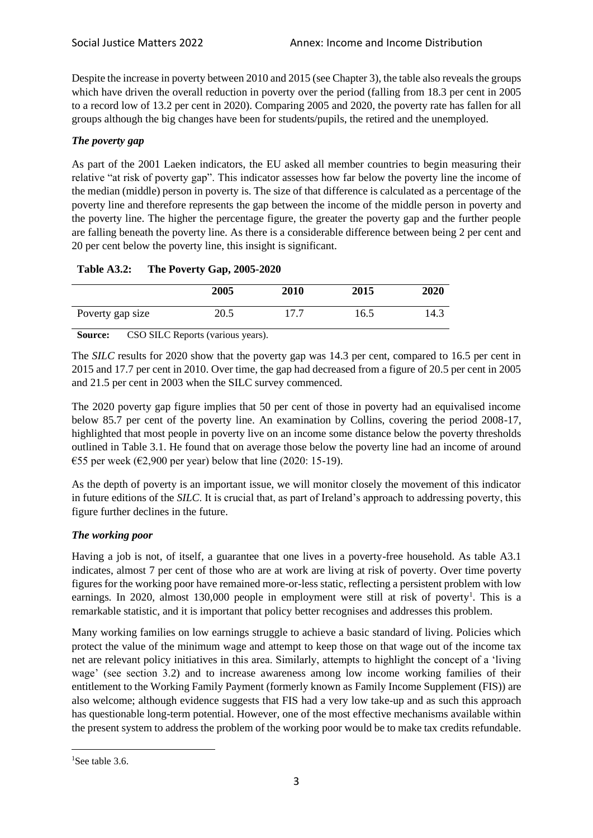Despite the increase in poverty between 2010 and 2015 (see Chapter 3), the table also reveals the groups which have driven the overall reduction in poverty over the period (falling from 18.3 per cent in 2005 to a record low of 13.2 per cent in 2020). Comparing 2005 and 2020, the poverty rate has fallen for all groups although the big changes have been for students/pupils, the retired and the unemployed.

# *The poverty gap*

As part of the 2001 Laeken indicators, the EU asked all member countries to begin measuring their relative "at risk of poverty gap". This indicator assesses how far below the poverty line the income of the median (middle) person in poverty is. The size of that difference is calculated as a percentage of the poverty line and therefore represents the gap between the income of the middle person in poverty and the poverty line. The higher the percentage figure, the greater the poverty gap and the further people are falling beneath the poverty line. As there is a considerable difference between being 2 per cent and 20 per cent below the poverty line, this insight is significant.

|                  | 2005 | 2010 | 2015 | 2020 |
|------------------|------|------|------|------|
| Poverty gap size | 20.5 | 177  | 16.5 | 14.3 |

# **Table A3.2: The Poverty Gap, 2005-2020**

**Source:** CSO SILC Reports (various years).

The *SILC* results for 2020 show that the poverty gap was 14.3 per cent, compared to 16.5 per cent in 2015 and 17.7 per cent in 2010. Over time, the gap had decreased from a figure of 20.5 per cent in 2005 and 21.5 per cent in 2003 when the SILC survey commenced.

The 2020 poverty gap figure implies that 50 per cent of those in poverty had an equivalised income below 85.7 per cent of the poverty line. An examination by Collins, covering the period 2008-17, highlighted that most people in poverty live on an income some distance below the poverty thresholds outlined in Table 3.1. He found that on average those below the poverty line had an income of around €55 per week (€2,900 per year) below that line (2020: 15-19).

As the depth of poverty is an important issue, we will monitor closely the movement of this indicator in future editions of the *SILC*. It is crucial that, as part of Ireland's approach to addressing poverty, this figure further declines in the future.

# *The working poor*

Having a job is not, of itself, a guarantee that one lives in a poverty-free household. As table A3.1 indicates, almost 7 per cent of those who are at work are living at risk of poverty. Over time poverty figures for the working poor have remained more-or-less static, reflecting a persistent problem with low earnings. In 2020, almost 130,000 people in employment were still at risk of poverty<sup>1</sup>. This is a remarkable statistic, and it is important that policy better recognises and addresses this problem.

Many working families on low earnings struggle to achieve a basic standard of living. Policies which protect the value of the minimum wage and attempt to keep those on that wage out of the income tax net are relevant policy initiatives in this area. Similarly, attempts to highlight the concept of a 'living wage' (see section 3.2) and to increase awareness among low income working families of their entitlement to the Working Family Payment (formerly known as Family Income Supplement (FIS)) are also welcome; although evidence suggests that FIS had a very low take-up and as such this approach has questionable long-term potential. However, one of the most effective mechanisms available within the present system to address the problem of the working poor would be to make tax credits refundable.

<sup>&</sup>lt;sup>1</sup>See table 3.6.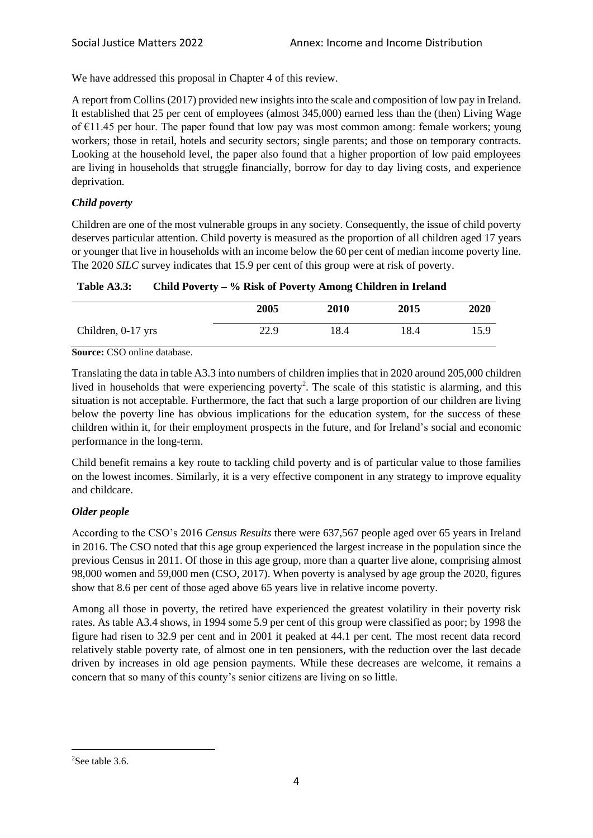We have addressed this proposal in Chapter 4 of this review.

A report from Collins (2017) provided new insights into the scale and composition of low pay in Ireland. It established that 25 per cent of employees (almost 345,000) earned less than the (then) Living Wage of  $E11.45$  per hour. The paper found that low pay was most common among: female workers; young workers; those in retail, hotels and security sectors; single parents; and those on temporary contracts. Looking at the household level, the paper also found that a higher proportion of low paid employees are living in households that struggle financially, borrow for day to day living costs, and experience deprivation.

## *Child poverty*

Children are one of the most vulnerable groups in any society. Consequently, the issue of child poverty deserves particular attention. Child poverty is measured as the proportion of all children aged 17 years or younger that live in households with an income below the 60 per cent of median income poverty line. The 2020 *SILC* survey indicates that 15.9 per cent of this group were at risk of poverty.

**Table A3.3: Child Poverty – % Risk of Poverty Among Children in Ireland**

|                    | 2005 | 2010 | 2015 | 2020 |
|--------------------|------|------|------|------|
| Children, 0-17 yrs | 22.9 | 18.4 | 18.4 | 15.9 |

**Source:** CSO online database.

Translating the data in table A3.3 into numbers of children implies that in 2020 around 205,000 children lived in households that were experiencing poverty<sup>2</sup>. The scale of this statistic is alarming, and this situation is not acceptable. Furthermore, the fact that such a large proportion of our children are living below the poverty line has obvious implications for the education system, for the success of these children within it, for their employment prospects in the future, and for Ireland's social and economic performance in the long-term.

Child benefit remains a key route to tackling child poverty and is of particular value to those families on the lowest incomes. Similarly, it is a very effective component in any strategy to improve equality and childcare.

# *Older people*

According to the CSO's 2016 *Census Results* there were 637,567 people aged over 65 years in Ireland in 2016. The CSO noted that this age group experienced the largest increase in the population since the previous Census in 2011. Of those in this age group, more than a quarter live alone, comprising almost 98,000 women and 59,000 men (CSO, 2017). When poverty is analysed by age group the 2020, figures show that 8.6 per cent of those aged above 65 years live in relative income poverty.

Among all those in poverty, the retired have experienced the greatest volatility in their poverty risk rates. As table A3.4 shows, in 1994 some 5.9 per cent of this group were classified as poor; by 1998 the figure had risen to 32.9 per cent and in 2001 it peaked at 44.1 per cent. The most recent data record relatively stable poverty rate, of almost one in ten pensioners, with the reduction over the last decade driven by increases in old age pension payments. While these decreases are welcome, it remains a concern that so many of this county's senior citizens are living on so little.

<sup>&</sup>lt;sup>2</sup>See table 3.6.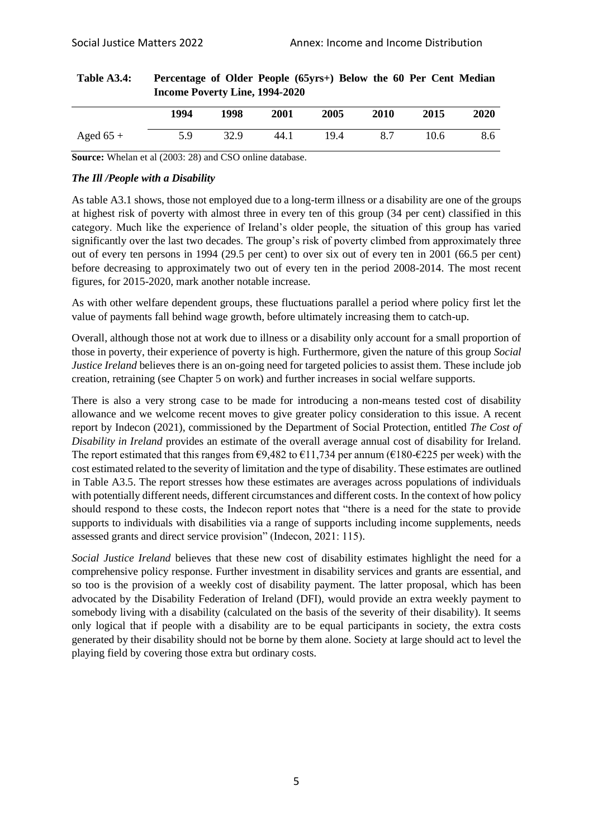| $\mu$ and $\mu$ and $\mu$ and $\mu$ and $\mu$ and $\mu$ |      |      |      |      |      |      |      |
|---------------------------------------------------------|------|------|------|------|------|------|------|
|                                                         | 1994 | 1998 | 2001 | 2005 | 2010 | 2015 | 2020 |
| Aged $65 +$                                             | 5.9  | 32.9 | 44.1 | 19.4 | 8.7  | 10.6 | 8.6  |

#### **Table A3.4: Percentage of Older People (65yrs+) Below the 60 Per Cent Median Income Poverty Line, 1994-2020**

**Source:** Whelan et al (2003: 28) and CSO online database.

#### *The Ill /People with a Disability*

As table A3.1 shows, those not employed due to a long-term illness or a disability are one of the groups at highest risk of poverty with almost three in every ten of this group (34 per cent) classified in this category. Much like the experience of Ireland's older people, the situation of this group has varied significantly over the last two decades. The group's risk of poverty climbed from approximately three out of every ten persons in 1994 (29.5 per cent) to over six out of every ten in 2001 (66.5 per cent) before decreasing to approximately two out of every ten in the period 2008-2014. The most recent figures, for 2015-2020, mark another notable increase.

As with other welfare dependent groups, these fluctuations parallel a period where policy first let the value of payments fall behind wage growth, before ultimately increasing them to catch-up.

Overall, although those not at work due to illness or a disability only account for a small proportion of those in poverty, their experience of poverty is high. Furthermore, given the nature of this group *Social Justice Ireland* believes there is an on-going need for targeted policies to assist them. These include job creation, retraining (see Chapter 5 on work) and further increases in social welfare supports.

There is also a very strong case to be made for introducing a non-means tested cost of disability allowance and we welcome recent moves to give greater policy consideration to this issue. A recent report by Indecon (2021), commissioned by the Department of Social Protection, entitled *The Cost of Disability in Ireland* provides an estimate of the overall average annual cost of disability for Ireland. The report estimated that this ranges from  $\epsilon$ 9,482 to  $\epsilon$ 11,734 per annum ( $\epsilon$ 180- $\epsilon$ 225 per week) with the cost estimated related to the severity of limitation and the type of disability. These estimates are outlined in Table A3.5. The report stresses how these estimates are averages across populations of individuals with potentially different needs, different circumstances and different costs. In the context of how policy should respond to these costs, the Indecon report notes that "there is a need for the state to provide supports to individuals with disabilities via a range of supports including income supplements, needs assessed grants and direct service provision" (Indecon, 2021: 115).

*Social Justice Ireland* believes that these new cost of disability estimates highlight the need for a comprehensive policy response. Further investment in disability services and grants are essential, and so too is the provision of a weekly cost of disability payment. The latter proposal, which has been advocated by the Disability Federation of Ireland (DFI), would provide an extra weekly payment to somebody living with a disability (calculated on the basis of the severity of their disability). It seems only logical that if people with a disability are to be equal participants in society, the extra costs generated by their disability should not be borne by them alone. Society at large should act to level the playing field by covering those extra but ordinary costs.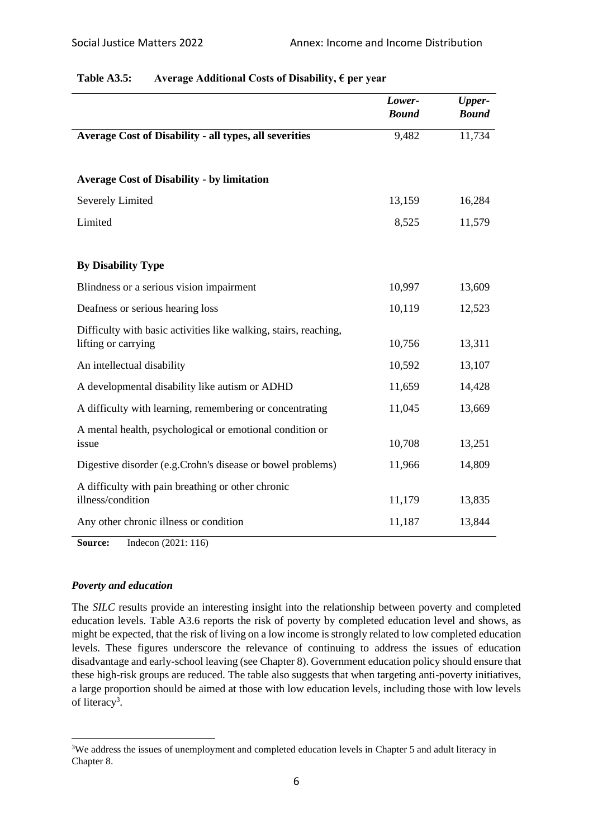|                                                                                         | Lower-<br><b>Bound</b> | <b>Upper-</b><br><b>Bound</b> |
|-----------------------------------------------------------------------------------------|------------------------|-------------------------------|
| <b>Average Cost of Disability - all types, all severities</b>                           | 9,482                  | 11,734                        |
|                                                                                         |                        |                               |
| <b>Average Cost of Disability - by limitation</b>                                       |                        |                               |
| <b>Severely Limited</b>                                                                 | 13,159                 | 16,284                        |
| Limited                                                                                 | 8,525                  | 11,579                        |
|                                                                                         |                        |                               |
| <b>By Disability Type</b>                                                               |                        |                               |
| Blindness or a serious vision impairment                                                | 10,997                 | 13,609                        |
| Deafness or serious hearing loss                                                        | 10,119                 | 12,523                        |
| Difficulty with basic activities like walking, stairs, reaching,<br>lifting or carrying | 10,756                 | 13,311                        |
| An intellectual disability                                                              | 10,592                 | 13,107                        |
| A developmental disability like autism or ADHD                                          | 11,659                 | 14,428                        |
| A difficulty with learning, remembering or concentrating                                | 11,045                 | 13,669                        |
| A mental health, psychological or emotional condition or<br>issue                       | 10,708                 | 13,251                        |
| Digestive disorder (e.g.Crohn's disease or bowel problems)                              | 11,966                 | 14,809                        |
| A difficulty with pain breathing or other chronic<br>illness/condition                  | 11,179                 | 13,835                        |
| Any other chronic illness or condition                                                  | 11,187                 | 13,844                        |

# **Table A3.5: Average Additional Costs of Disability, € per year**

**Source:** Indecon (2021: 116)

# *Poverty and education*

The *SILC* results provide an interesting insight into the relationship between poverty and completed education levels. Table A3.6 reports the risk of poverty by completed education level and shows, as might be expected, that the risk of living on a low income is strongly related to low completed education levels. These figures underscore the relevance of continuing to address the issues of education disadvantage and early-school leaving (see Chapter 8). Government education policy should ensure that these high-risk groups are reduced. The table also suggests that when targeting anti-poverty initiatives, a large proportion should be aimed at those with low education levels, including those with low levels of literacy<sup>3</sup>.

<sup>&</sup>lt;sup>3</sup>We address the issues of unemployment and completed education levels in Chapter 5 and adult literacy in Chapter 8.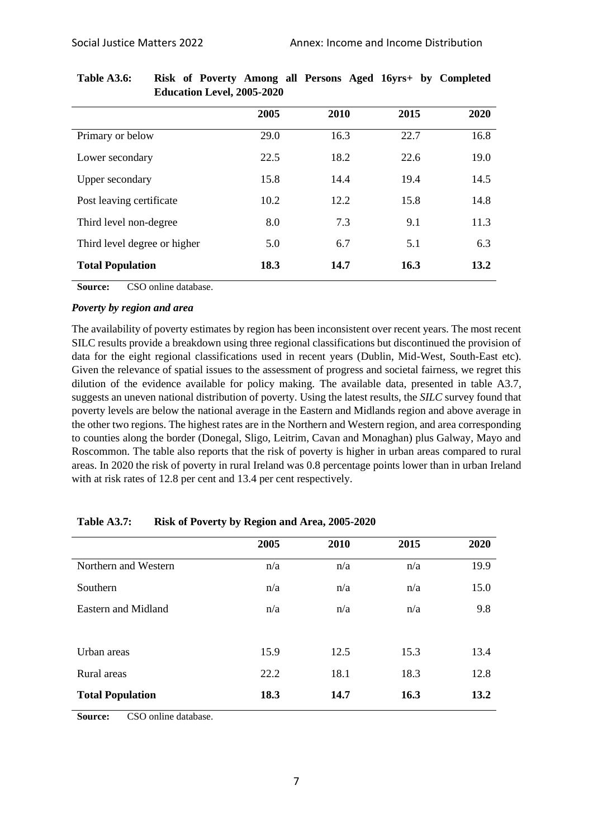|                              | 2005 | 2010 | 2015 | 2020 |
|------------------------------|------|------|------|------|
| Primary or below             | 29.0 | 16.3 | 22.7 | 16.8 |
| Lower secondary              | 22.5 | 18.2 | 22.6 | 19.0 |
| <b>Upper secondary</b>       | 15.8 | 14.4 | 19.4 | 14.5 |
| Post leaving certificate     | 10.2 | 12.2 | 15.8 | 14.8 |
| Third level non-degree       | 8.0  | 7.3  | 9.1  | 11.3 |
| Third level degree or higher | 5.0  | 6.7  | 5.1  | 6.3  |
| <b>Total Population</b>      | 18.3 | 14.7 | 16.3 | 13.2 |

| Table A3.6: | Risk of Poverty Among all Persons Aged 16yrs+ by Completed |  |  |
|-------------|------------------------------------------------------------|--|--|
|             | <b>Education Level, 2005-2020</b>                          |  |  |

**Source:** CSO online database.

#### *Poverty by region and area*

The availability of poverty estimates by region has been inconsistent over recent years. The most recent SILC results provide a breakdown using three regional classifications but discontinued the provision of data for the eight regional classifications used in recent years (Dublin, Mid-West, South-East etc). Given the relevance of spatial issues to the assessment of progress and societal fairness, we regret this dilution of the evidence available for policy making. The available data, presented in table A3.7, suggests an uneven national distribution of poverty. Using the latest results, the *SILC* survey found that poverty levels are below the national average in the Eastern and Midlands region and above average in the other two regions. The highest rates are in the Northern and Western region, and area corresponding to counties along the border (Donegal, Sligo, Leitrim, Cavan and Monaghan) plus Galway, Mayo and Roscommon. The table also reports that the risk of poverty is higher in urban areas compared to rural areas. In 2020 the risk of poverty in rural Ireland was 0.8 percentage points lower than in urban Ireland with at risk rates of 12.8 per cent and 13.4 per cent respectively.

|                         | 2005 | 2010 | 2015 | 2020 |
|-------------------------|------|------|------|------|
| Northern and Western    | n/a  | n/a  | n/a  | 19.9 |
| Southern                | n/a  | n/a  | n/a  | 15.0 |
| Eastern and Midland     | n/a  | n/a  | n/a  | 9.8  |
|                         |      |      |      |      |
| Urban areas             | 15.9 | 12.5 | 15.3 | 13.4 |
| Rural areas             | 22.2 | 18.1 | 18.3 | 12.8 |
| <b>Total Population</b> | 18.3 | 14.7 | 16.3 | 13.2 |

| Table A3.7: | Risk of Poverty by Region and Area, 2005-2020 |
|-------------|-----------------------------------------------|
|-------------|-----------------------------------------------|

**Source:** CSO online database.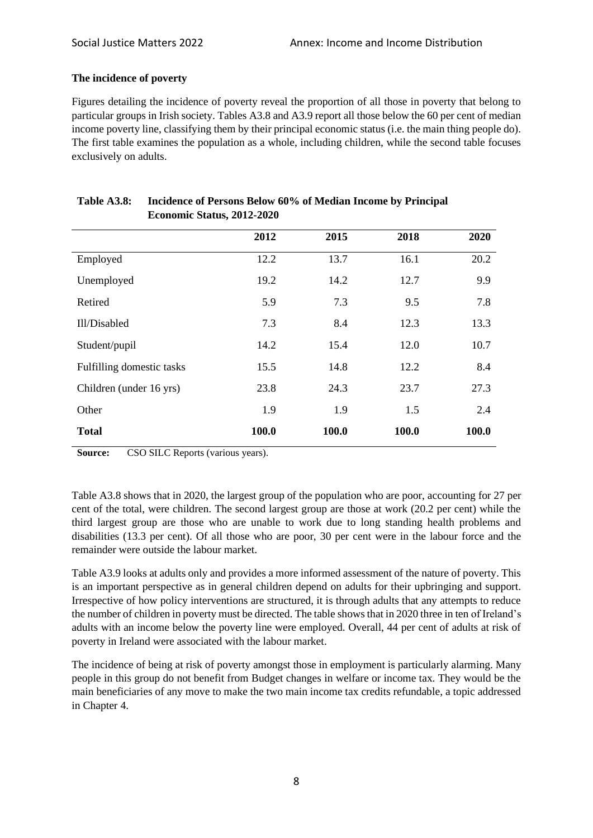# **The incidence of poverty**

Figures detailing the incidence of poverty reveal the proportion of all those in poverty that belong to particular groups in Irish society. Tables A3.8 and A3.9 report all those below the 60 per cent of median income poverty line, classifying them by their principal economic status (i.e. the main thing people do). The first table examines the population as a whole, including children, while the second table focuses exclusively on adults.

|                           | 2012  | 2015  | 2018  | 2020  |
|---------------------------|-------|-------|-------|-------|
| Employed                  | 12.2  | 13.7  | 16.1  | 20.2  |
| Unemployed                | 19.2  | 14.2  | 12.7  | 9.9   |
| Retired                   | 5.9   | 7.3   | 9.5   | 7.8   |
| Ill/Disabled              | 7.3   | 8.4   | 12.3  | 13.3  |
| Student/pupil             | 14.2  | 15.4  | 12.0  | 10.7  |
| Fulfilling domestic tasks | 15.5  | 14.8  | 12.2  | 8.4   |
| Children (under 16 yrs)   | 23.8  | 24.3  | 23.7  | 27.3  |
| Other                     | 1.9   | 1.9   | 1.5   | 2.4   |
| <b>Total</b>              | 100.0 | 100.0 | 100.0 | 100.0 |

### **Table A3.8: Incidence of Persons Below 60% of Median Income by Principal Economic Status, 2012-2020**

**Source:** CSO SILC Reports (various years).

Table A3.8 shows that in 2020, the largest group of the population who are poor, accounting for 27 per cent of the total, were children. The second largest group are those at work (20.2 per cent) while the third largest group are those who are unable to work due to long standing health problems and disabilities (13.3 per cent). Of all those who are poor, 30 per cent were in the labour force and the remainder were outside the labour market.

Table A3.9 looks at adults only and provides a more informed assessment of the nature of poverty. This is an important perspective as in general children depend on adults for their upbringing and support. Irrespective of how policy interventions are structured, it is through adults that any attempts to reduce the number of children in poverty must be directed. The table shows that in 2020 three in ten of Ireland's adults with an income below the poverty line were employed. Overall, 44 per cent of adults at risk of poverty in Ireland were associated with the labour market.

The incidence of being at risk of poverty amongst those in employment is particularly alarming. Many people in this group do not benefit from Budget changes in welfare or income tax. They would be the main beneficiaries of any move to make the two main income tax credits refundable, a topic addressed in Chapter 4.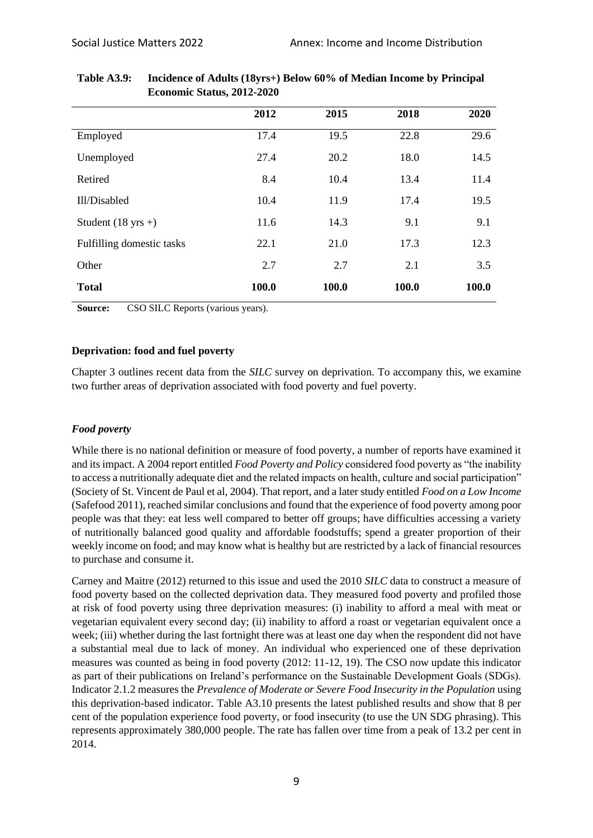|                              | 2012  | 2015  | 2018  | 2020  |
|------------------------------|-------|-------|-------|-------|
| Employed                     | 17.4  | 19.5  | 22.8  | 29.6  |
| Unemployed                   | 27.4  | 20.2  | 18.0  | 14.5  |
| Retired                      | 8.4   | 10.4  | 13.4  | 11.4  |
| Ill/Disabled                 | 10.4  | 11.9  | 17.4  | 19.5  |
| Student $(18 \text{ yrs} +)$ | 11.6  | 14.3  | 9.1   | 9.1   |
| Fulfilling domestic tasks    | 22.1  | 21.0  | 17.3  | 12.3  |
| Other                        | 2.7   | 2.7   | 2.1   | 3.5   |
| <b>Total</b>                 | 100.0 | 100.0 | 100.0 | 100.0 |

## **Table A3.9: Incidence of Adults (18yrs+) Below 60% of Median Income by Principal Economic Status, 2012-2020**

**Source:** CSO SILC Reports (various years).

### **Deprivation: food and fuel poverty**

Chapter 3 outlines recent data from the *SILC* survey on deprivation. To accompany this, we examine two further areas of deprivation associated with food poverty and fuel poverty.

# *Food poverty*

While there is no national definition or measure of food poverty, a number of reports have examined it and its impact. A 2004 report entitled *Food Poverty and Policy* considered food poverty as "the inability to access a nutritionally adequate diet and the related impacts on health, culture and social participation" (Society of St. Vincent de Paul et al, 2004). That report, and a later study entitled *Food on a Low Income*  (Safefood 2011), reached similar conclusions and found that the experience of food poverty among poor people was that they: eat less well compared to better off groups; have difficulties accessing a variety of nutritionally balanced good quality and affordable foodstuffs; spend a greater proportion of their weekly income on food; and may know what is healthy but are restricted by a lack of financial resources to purchase and consume it.

Carney and Maitre (2012) returned to this issue and used the 2010 *SILC* data to construct a measure of food poverty based on the collected deprivation data. They measured food poverty and profiled those at risk of food poverty using three deprivation measures: (i) inability to afford a meal with meat or vegetarian equivalent every second day; (ii) inability to afford a roast or vegetarian equivalent once a week; (iii) whether during the last fortnight there was at least one day when the respondent did not have a substantial meal due to lack of money. An individual who experienced one of these deprivation measures was counted as being in food poverty (2012: 11-12, 19). The CSO now update this indicator as part of their publications on Ireland's performance on the Sustainable Development Goals (SDGs). Indicator 2.1.2 measures the *Prevalence of Moderate or Severe Food Insecurity in the Population* using this deprivation-based indicator. Table A3.10 presents the latest published results and show that 8 per cent of the population experience food poverty, or food insecurity (to use the UN SDG phrasing). This represents approximately 380,000 people. The rate has fallen over time from a peak of 13.2 per cent in 2014.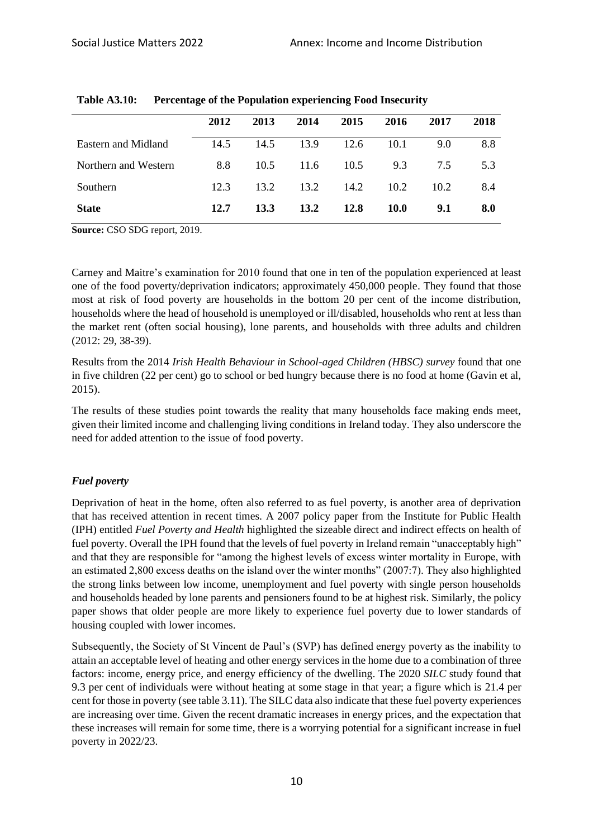|                      | 2012 | 2013 | 2014 | 2015 | 2016        | 2017 | 2018 |
|----------------------|------|------|------|------|-------------|------|------|
| Eastern and Midland  | 14.5 | 14.5 | 13.9 | 12.6 | 10.1        | 9.0  | 8.8  |
| Northern and Western | 8.8  | 10.5 | 11.6 | 10.5 | 9.3         | 7.5  | 5.3  |
| Southern             | 12.3 | 13.2 | 13.2 | 14.2 | 10.2        | 10.2 | 8.4  |
| <b>State</b>         | 12.7 | 13.3 | 13.2 | 12.8 | <b>10.0</b> | 9.1  | 8.0  |

**Table A3.10: Percentage of the Population experiencing Food Insecurity**

**Source:** CSO SDG report, 2019.

Carney and Maitre's examination for 2010 found that one in ten of the population experienced at least one of the food poverty/deprivation indicators; approximately 450,000 people. They found that those most at risk of food poverty are households in the bottom 20 per cent of the income distribution, households where the head of household is unemployed or ill/disabled, households who rent at less than the market rent (often social housing), lone parents, and households with three adults and children (2012: 29, 38-39).

Results from the 2014 *Irish Health Behaviour in School-aged Children (HBSC) survey* found that one in five children (22 per cent) go to school or bed hungry because there is no food at home (Gavin et al, 2015).

The results of these studies point towards the reality that many households face making ends meet, given their limited income and challenging living conditions in Ireland today. They also underscore the need for added attention to the issue of food poverty.

#### *Fuel poverty*

Deprivation of heat in the home, often also referred to as fuel poverty, is another area of deprivation that has received attention in recent times. A 2007 policy paper from the Institute for Public Health (IPH) entitled *Fuel Poverty and Health* highlighted the sizeable direct and indirect effects on health of fuel poverty. Overall the IPH found that the levels of fuel poverty in Ireland remain "unacceptably high" and that they are responsible for "among the highest levels of excess winter mortality in Europe, with an estimated 2,800 excess deaths on the island over the winter months" (2007:7). They also highlighted the strong links between low income, unemployment and fuel poverty with single person households and households headed by lone parents and pensioners found to be at highest risk. Similarly, the policy paper shows that older people are more likely to experience fuel poverty due to lower standards of housing coupled with lower incomes.

Subsequently, the Society of St Vincent de Paul's (SVP) has defined energy poverty as the inability to attain an acceptable level of heating and other energy services in the home due to a combination of three factors: income, energy price, and energy efficiency of the dwelling. The 2020 *SILC* study found that 9.3 per cent of individuals were without heating at some stage in that year; a figure which is 21.4 per cent for those in poverty (see table 3.11). The SILC data also indicate that these fuel poverty experiences are increasing over time. Given the recent dramatic increases in energy prices, and the expectation that these increases will remain for some time, there is a worrying potential for a significant increase in fuel poverty in 2022/23.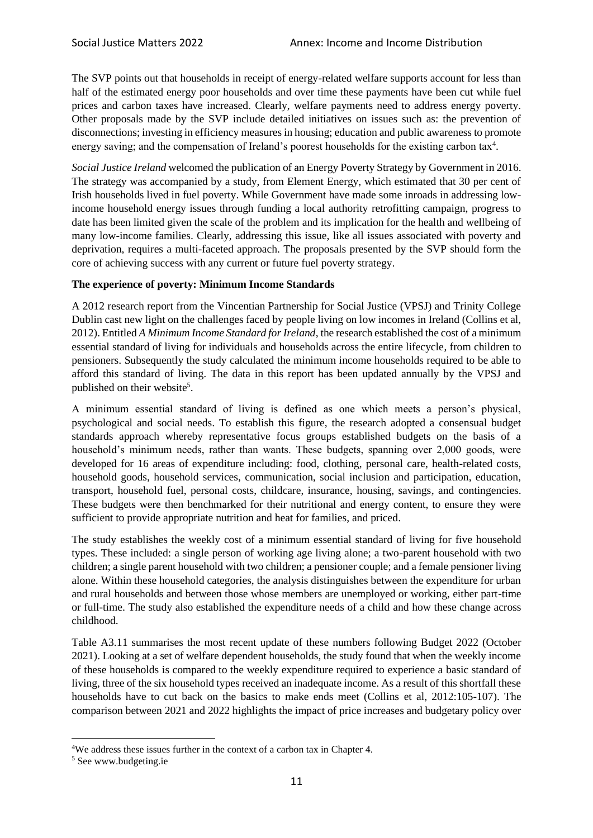The SVP points out that households in receipt of energy-related welfare supports account for less than half of the estimated energy poor households and over time these payments have been cut while fuel prices and carbon taxes have increased. Clearly, welfare payments need to address energy poverty. Other proposals made by the SVP include detailed initiatives on issues such as: the prevention of disconnections; investing in efficiency measures in housing; education and public awareness to promote energy saving; and the compensation of Ireland's poorest households for the existing carbon tax<sup>4</sup>.

*Social Justice Ireland* welcomed the publication of an Energy Poverty Strategy by Government in 2016. The strategy was accompanied by a study, from Element Energy, which estimated that 30 per cent of Irish households lived in fuel poverty. While Government have made some inroads in addressing lowincome household energy issues through funding a local authority retrofitting campaign, progress to date has been limited given the scale of the problem and its implication for the health and wellbeing of many low-income families. Clearly, addressing this issue, like all issues associated with poverty and deprivation, requires a multi-faceted approach. The proposals presented by the SVP should form the core of achieving success with any current or future fuel poverty strategy.

# **The experience of poverty: Minimum Income Standards**

A 2012 research report from the Vincentian Partnership for Social Justice (VPSJ) and Trinity College Dublin cast new light on the challenges faced by people living on low incomes in Ireland (Collins et al, 2012). Entitled *A Minimum Income Standard for Ireland*, the research established the cost of a minimum essential standard of living for individuals and households across the entire lifecycle, from children to pensioners. Subsequently the study calculated the minimum income households required to be able to afford this standard of living. The data in this report has been updated annually by the VPSJ and published on their website<sup>5</sup>.

A minimum essential standard of living is defined as one which meets a person's physical, psychological and social needs. To establish this figure, the research adopted a consensual budget standards approach whereby representative focus groups established budgets on the basis of a household's minimum needs, rather than wants. These budgets, spanning over 2,000 goods, were developed for 16 areas of expenditure including: food, clothing, personal care, health-related costs, household goods, household services, communication, social inclusion and participation, education, transport, household fuel, personal costs, childcare, insurance, housing, savings, and contingencies. These budgets were then benchmarked for their nutritional and energy content, to ensure they were sufficient to provide appropriate nutrition and heat for families, and priced.

The study establishes the weekly cost of a minimum essential standard of living for five household types. These included: a single person of working age living alone; a two-parent household with two children; a single parent household with two children; a pensioner couple; and a female pensioner living alone. Within these household categories, the analysis distinguishes between the expenditure for urban and rural households and between those whose members are unemployed or working, either part-time or full-time. The study also established the expenditure needs of a child and how these change across childhood.

Table A3.11 summarises the most recent update of these numbers following Budget 2022 (October 2021). Looking at a set of welfare dependent households, the study found that when the weekly income of these households is compared to the weekly expenditure required to experience a basic standard of living, three of the six household types received an inadequate income. As a result of this shortfall these households have to cut back on the basics to make ends meet (Collins et al, 2012:105-107). The comparison between 2021 and 2022 highlights the impact of price increases and budgetary policy over

<sup>4</sup>We address these issues further in the context of a carbon tax in Chapter 4.

<sup>5</sup> See www.budgeting.ie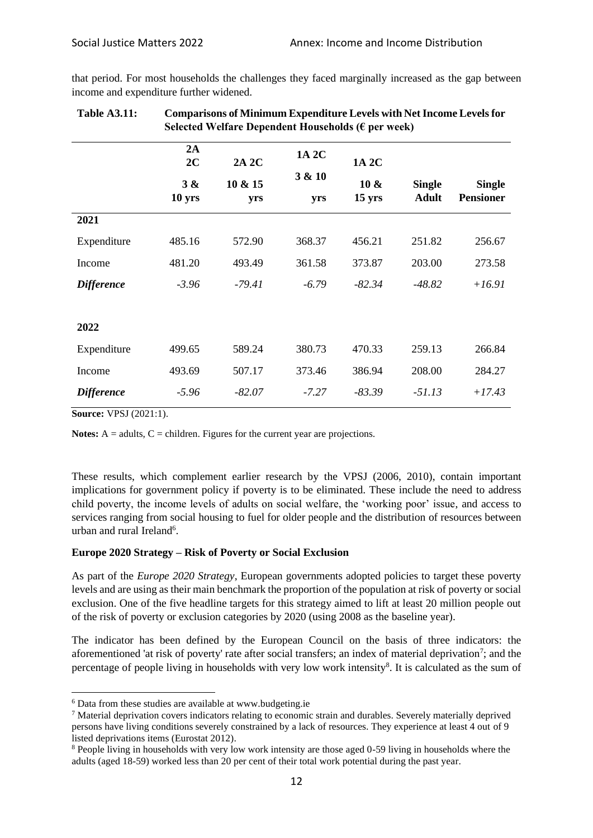that period. For most households the challenges they faced marginally increased as the gap between income and expenditure further widened.

|                   | Selected Welfare Dependent Households ( $\epsilon$ per week) |          |         |                  |               |                  |  |
|-------------------|--------------------------------------------------------------|----------|---------|------------------|---------------|------------------|--|
|                   | 2A<br>2C                                                     | 2A 2C    | 1A 2C   | 1A 2C            |               |                  |  |
|                   | 3 &                                                          | 10 & 15  | 3 & 10  | $10 \&$          | <b>Single</b> | <b>Single</b>    |  |
|                   | 10 yrs                                                       | yrs      | yrs     | $15 \text{ yrs}$ | <b>Adult</b>  | <b>Pensioner</b> |  |
| 2021              |                                                              |          |         |                  |               |                  |  |
| Expenditure       | 485.16                                                       | 572.90   | 368.37  | 456.21           | 251.82        | 256.67           |  |
| Income            | 481.20                                                       | 493.49   | 361.58  | 373.87           | 203.00        | 273.58           |  |
| <b>Difference</b> | $-3.96$                                                      | -79.41   | $-6.79$ | $-82.34$         | $-48.82$      | $+16.91$         |  |
|                   |                                                              |          |         |                  |               |                  |  |
| 2022              |                                                              |          |         |                  |               |                  |  |
| Expenditure       | 499.65                                                       | 589.24   | 380.73  | 470.33           | 259.13        | 266.84           |  |
| Income            | 493.69                                                       | 507.17   | 373.46  | 386.94           | 208.00        | 284.27           |  |
| <b>Difference</b> | $-5.96$                                                      | $-82.07$ | $-7.27$ | $-83.39$         | $-51.13$      | $+17.43$         |  |

| <b>Table A3.11:</b> | <b>Comparisons of Minimum Expenditure Levels with Net Income Levels for</b> |
|---------------------|-----------------------------------------------------------------------------|
|                     | Selected Welfare Dependent Households ( $\epsilon$ per week)                |

**Source:** VPSJ (2021:1).

**Notes:**  $A =$  adults,  $C =$  children. Figures for the current year are projections.

These results, which complement earlier research by the VPSJ (2006, 2010), contain important implications for government policy if poverty is to be eliminated. These include the need to address child poverty, the income levels of adults on social welfare, the 'working poor' issue, and access to services ranging from social housing to fuel for older people and the distribution of resources between urban and rural Ireland<sup>6</sup>.

#### **Europe 2020 Strategy – Risk of Poverty or Social Exclusion**

As part of the *Europe 2020 Strategy*, European governments adopted policies to target these poverty levels and are using as their main benchmark the proportion of the population at risk of poverty or social exclusion. One of the five headline targets for this strategy aimed to lift at least 20 million people out of the risk of poverty or exclusion categories by 2020 (using 2008 as the baseline year).

The indicator has been defined by the European Council on the basis of three indicators: the aforementioned 'at risk of poverty' rate after social transfers; an index of material deprivation<sup>7</sup>; and the percentage of people living in households with very low work intensity<sup>8</sup>. It is calculated as the sum of

<sup>6</sup> Data from these studies are available at www.budgeting.ie

<sup>7</sup> Material deprivation covers indicators relating to economic strain and durables. Severely materially deprived persons have living conditions severely constrained by a lack of resources. They experience at least 4 out of 9 listed deprivations items (Eurostat 2012).

<sup>8</sup> People living in households with very low work intensity are those aged 0-59 living in households where the adults (aged 18-59) worked less than 20 per cent of their total work potential during the past year.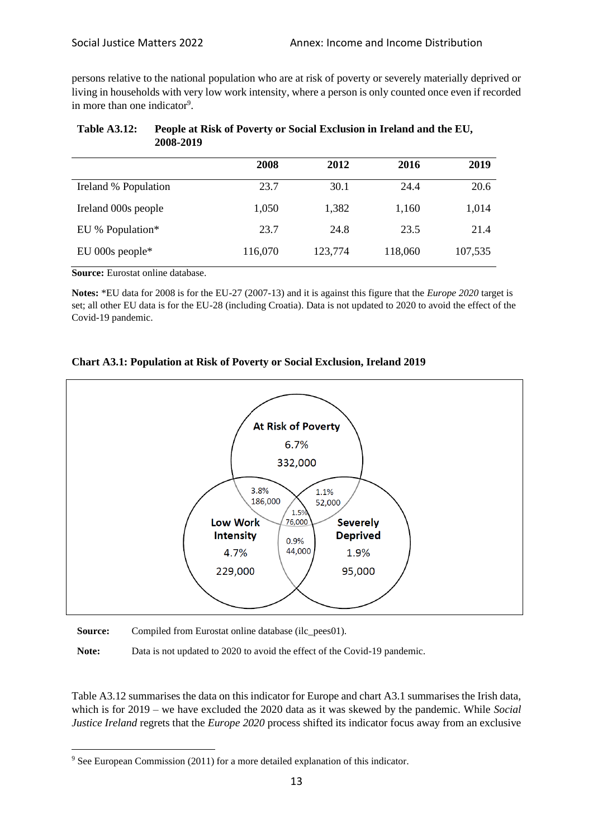persons relative to the national population who are at risk of poverty or severely materially deprived or living in households with very low work intensity, where a person is only counted once even if recorded in more than one indicator<sup>9</sup>.

|                      | 2008    | 2012    | 2016    | 2019    |
|----------------------|---------|---------|---------|---------|
| Ireland % Population | 23.7    | 30.1    | 24.4    | 20.6    |
| Ireland 000s people  | 1,050   | 1,382   | 1,160   | 1,014   |
| EU % Population*     | 23.7    | 24.8    | 23.5    | 21.4    |
| EU 000s people*      | 116,070 | 123,774 | 118,060 | 107,535 |

| <b>Table A3.12:</b> | People at Risk of Poverty or Social Exclusion in Ireland and the EU, |
|---------------------|----------------------------------------------------------------------|
|                     | 2008-2019                                                            |

**Source:** Eurostat online database.

**Notes:** \*EU data for 2008 is for the EU-27 (2007-13) and it is against this figure that the *Europe 2020* target is set; all other EU data is for the EU-28 (including Croatia). Data is not updated to 2020 to avoid the effect of the Covid-19 pandemic.

### **Chart A3.1: Population at Risk of Poverty or Social Exclusion, Ireland 2019**



**Source:** Compiled from Eurostat online database (ilc\_pees01).

Note: Data is not updated to 2020 to avoid the effect of the Covid-19 pandemic.

Table A3.12 summarises the data on this indicator for Europe and chart A3.1 summarises the Irish data, which is for 2019 – we have excluded the 2020 data as it was skewed by the pandemic. While *Social Justice Ireland* regrets that the *Europe 2020* process shifted its indicator focus away from an exclusive

<sup>&</sup>lt;sup>9</sup> See European Commission (2011) for a more detailed explanation of this indicator.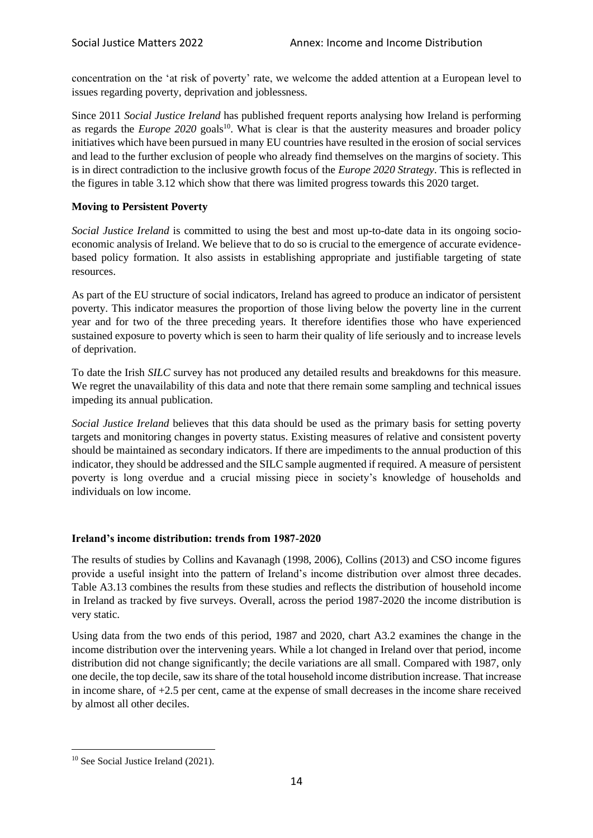concentration on the 'at risk of poverty' rate, we welcome the added attention at a European level to issues regarding poverty, deprivation and joblessness.

Since 2011 *Social Justice Ireland* has published frequent reports analysing how Ireland is performing as regards the *Europe* 2020 goals<sup>10</sup>. What is clear is that the austerity measures and broader policy initiatives which have been pursued in many EU countries have resulted in the erosion of social services and lead to the further exclusion of people who already find themselves on the margins of society. This is in direct contradiction to the inclusive growth focus of the *Europe 2020 Strategy*. This is reflected in the figures in table 3.12 which show that there was limited progress towards this 2020 target.

# **Moving to Persistent Poverty**

*Social Justice Ireland* is committed to using the best and most up-to-date data in its ongoing socioeconomic analysis of Ireland. We believe that to do so is crucial to the emergence of accurate evidencebased policy formation. It also assists in establishing appropriate and justifiable targeting of state resources.

As part of the EU structure of social indicators, Ireland has agreed to produce an indicator of persistent poverty. This indicator measures the proportion of those living below the poverty line in the current year and for two of the three preceding years. It therefore identifies those who have experienced sustained exposure to poverty which is seen to harm their quality of life seriously and to increase levels of deprivation.

To date the Irish *SILC* survey has not produced any detailed results and breakdowns for this measure. We regret the unavailability of this data and note that there remain some sampling and technical issues impeding its annual publication.

*Social Justice Ireland* believes that this data should be used as the primary basis for setting poverty targets and monitoring changes in poverty status. Existing measures of relative and consistent poverty should be maintained as secondary indicators. If there are impediments to the annual production of this indicator, they should be addressed and the SILC sample augmented if required. A measure of persistent poverty is long overdue and a crucial missing piece in society's knowledge of households and individuals on low income.

# **Ireland's income distribution: trends from 1987-2020**

The results of studies by Collins and Kavanagh (1998, 2006), Collins (2013) and CSO income figures provide a useful insight into the pattern of Ireland's income distribution over almost three decades. Table A3.13 combines the results from these studies and reflects the distribution of household income in Ireland as tracked by five surveys. Overall, across the period 1987-2020 the income distribution is very static.

Using data from the two ends of this period, 1987 and 2020, chart A3.2 examines the change in the income distribution over the intervening years. While a lot changed in Ireland over that period, income distribution did not change significantly; the decile variations are all small. Compared with 1987, only one decile, the top decile, saw its share of the total household income distribution increase. That increase in income share, of +2.5 per cent, came at the expense of small decreases in the income share received by almost all other deciles.

<sup>&</sup>lt;sup>10</sup> See Social Justice Ireland (2021).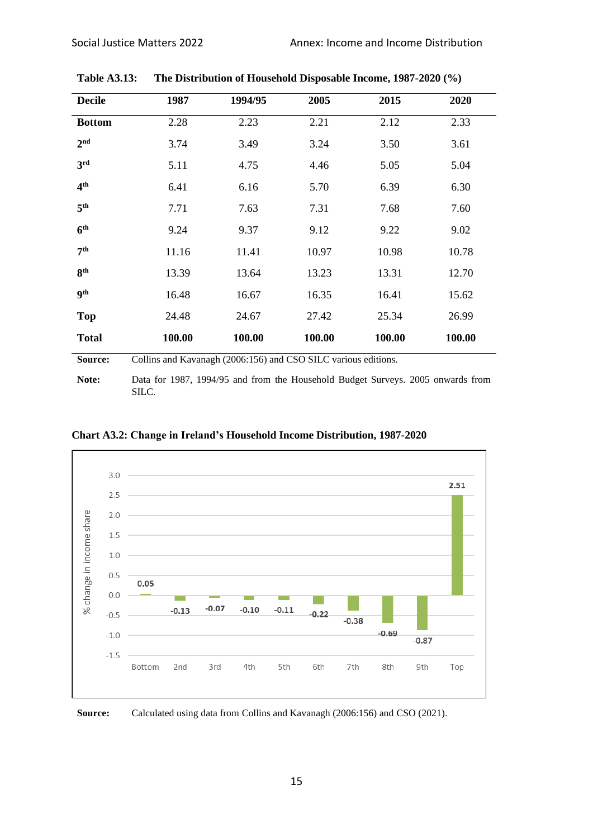| <b>Decile</b>   | 1987                                                           | 1994/95 | 2005   | 2015   | 2020   |  |
|-----------------|----------------------------------------------------------------|---------|--------|--------|--------|--|
| <b>Bottom</b>   | 2.28                                                           | 2.23    | 2.21   | 2.12   | 2.33   |  |
| 2 <sup>nd</sup> | 3.74                                                           | 3.49    | 3.24   | 3.50   | 3.61   |  |
| 3rd             | 5.11                                                           | 4.75    | 4.46   | 5.05   | 5.04   |  |
| 4 <sup>th</sup> | 6.41                                                           | 6.16    | 5.70   | 6.39   | 6.30   |  |
| 5 <sup>th</sup> | 7.71                                                           | 7.63    | 7.31   | 7.68   | 7.60   |  |
| 6 <sup>th</sup> | 9.24                                                           | 9.37    | 9.12   | 9.22   | 9.02   |  |
| 7 <sup>th</sup> | 11.16                                                          | 11.41   | 10.97  | 10.98  | 10.78  |  |
| 8 <sup>th</sup> | 13.39                                                          | 13.64   | 13.23  | 13.31  | 12.70  |  |
| <b>9th</b>      | 16.48                                                          | 16.67   | 16.35  | 16.41  | 15.62  |  |
| <b>Top</b>      | 24.48                                                          | 24.67   | 27.42  | 25.34  | 26.99  |  |
| <b>Total</b>    | 100.00                                                         | 100.00  | 100.00 | 100.00 | 100.00 |  |
| Source:         | Collins and Kavanagh (2006:156) and CSO SILC various editions. |         |        |        |        |  |
|                 |                                                                |         |        |        |        |  |

**Table A3.13: The Distribution of Household Disposable Income, 1987-2020 (%)**

**Note:** Data for 1987, 1994/95 and from the Household Budget Surveys. 2005 onwards from SILC.



**Chart A3.2: Change in Ireland's Household Income Distribution, 1987-2020**

**Source:** Calculated using data from Collins and Kavanagh (2006:156) and CSO (2021).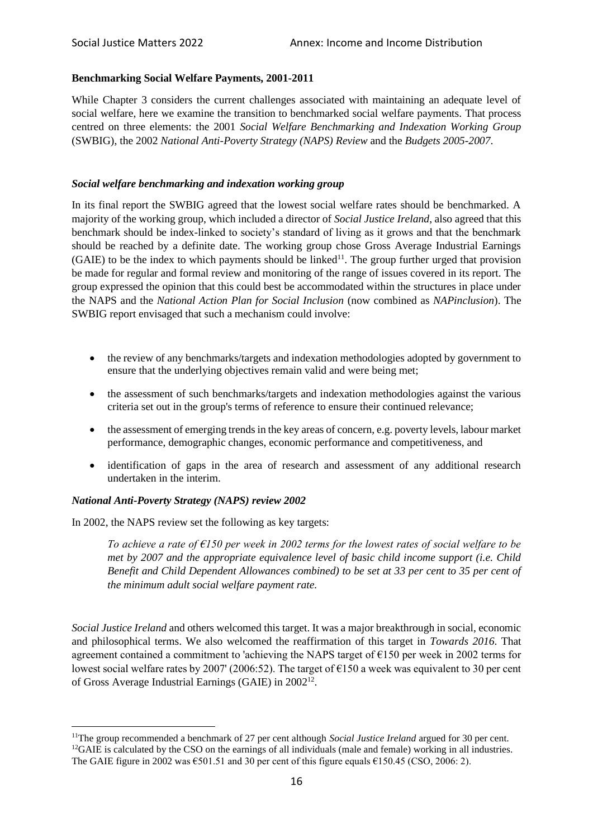### **Benchmarking Social Welfare Payments, 2001-2011**

While Chapter 3 considers the current challenges associated with maintaining an adequate level of social welfare, here we examine the transition to benchmarked social welfare payments. That process centred on three elements: the 2001 *Social Welfare Benchmarking and Indexation Working Group* (SWBIG), the 2002 *National Anti-Poverty Strategy (NAPS) Review* and the *Budgets 2005-2007*.

#### *Social welfare benchmarking and indexation working group*

In its final report the SWBIG agreed that the lowest social welfare rates should be benchmarked. A majority of the working group, which included a director of *Social Justice Ireland*, also agreed that this benchmark should be index-linked to society's standard of living as it grows and that the benchmark should be reached by a definite date. The working group chose Gross Average Industrial Earnings  $(GAIE)$  to be the index to which payments should be linked<sup>11</sup>. The group further urged that provision be made for regular and formal review and monitoring of the range of issues covered in its report. The group expressed the opinion that this could best be accommodated within the structures in place under the NAPS and the *National Action Plan for Social Inclusion* (now combined as *NAPinclusion*). The SWBIG report envisaged that such a mechanism could involve:

- the review of any benchmarks/targets and indexation methodologies adopted by government to ensure that the underlying objectives remain valid and were being met;
- the assessment of such benchmarks/targets and indexation methodologies against the various criteria set out in the group's terms of reference to ensure their continued relevance;
- the assessment of emerging trends in the key areas of concern, e.g. poverty levels, labour market performance, demographic changes, economic performance and competitiveness, and
- identification of gaps in the area of research and assessment of any additional research undertaken in the interim.

#### *National Anti-Poverty Strategy (NAPS) review 2002*

In 2002, the NAPS review set the following as key targets:

*To achieve a rate of €150 per week in 2002 terms for the lowest rates of social welfare to be met by 2007 and the appropriate equivalence level of basic child income support (i.e. Child Benefit and Child Dependent Allowances combined) to be set at 33 per cent to 35 per cent of the minimum adult social welfare payment rate.*

*Social Justice Ireland* and others welcomed this target. It was a major breakthrough in social, economic and philosophical terms. We also welcomed the reaffirmation of this target in *Towards 2016*. That agreement contained a commitment to 'achieving the NAPS target of €150 per week in 2002 terms for lowest social welfare rates by 2007' (2006:52). The target of €150 a week was equivalent to 30 per cent of Gross Average Industrial Earnings (GAIE) in 2002<sup>12</sup>.

<sup>&</sup>lt;sup>11</sup>The group recommended a benchmark of 27 per cent although *Social Justice Ireland* argued for 30 per cent.  $12\text{GAIE}$  is calculated by the CSO on the earnings of all individuals (male and female) working in all industries. The GAIE figure in 2002 was  $\epsilon$ 501.51 and 30 per cent of this figure equals  $\epsilon$ 150.45 (CSO, 2006: 2).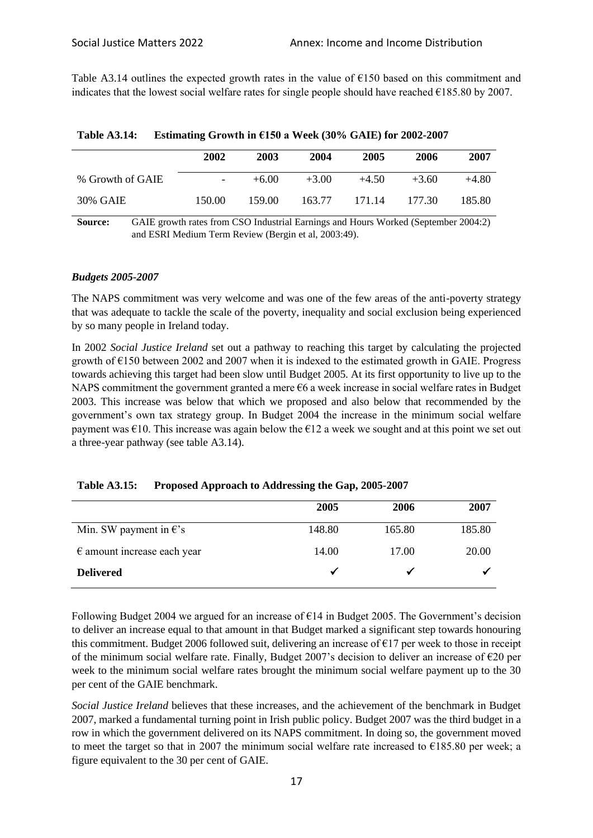Table A3.14 outlines the expected growth rates in the value of  $\epsilon$ 150 based on this commitment and indicates that the lowest social welfare rates for single people should have reached €185.80 by 2007.

|                  | 2002                                                                               | 2003    | 2004    | 2005    | 2006    | 2007    |
|------------------|------------------------------------------------------------------------------------|---------|---------|---------|---------|---------|
| % Growth of GAIE |                                                                                    | $+6.00$ | $+3.00$ | $+4.50$ | $+3.60$ | $+4.80$ |
| 30% GAIE         | 150.00                                                                             | 159.00  | 163.77  | 171.14  | 177.30  | 185.80  |
| Source:          | GAIE growth rates from CSO Industrial Earnings and Hours Worked (September 2004:2) |         |         |         |         |         |

| <b>Table A3.14:</b> | Estimating Growth in $E$ 150 a Week (30% GAIE) for 2002-2007 |  |  |
|---------------------|--------------------------------------------------------------|--|--|
|                     |                                                              |  |  |

**Source:** GAIE growth rates from CSO Industrial Earnings and Hours Worked (September 2004:2) and ESRI Medium Term Review (Bergin et al, 2003:49).

### *Budgets 2005-2007*

The NAPS commitment was very welcome and was one of the few areas of the anti-poverty strategy that was adequate to tackle the scale of the poverty, inequality and social exclusion being experienced by so many people in Ireland today.

In 2002 *Social Justice Ireland* set out a pathway to reaching this target by calculating the projected growth of  $\epsilon$ 150 between 2002 and 2007 when it is indexed to the estimated growth in GAIE. Progress towards achieving this target had been slow until Budget 2005. At its first opportunity to live up to the NAPS commitment the government granted a mere  $\epsilon$ 6 a week increase in social welfare rates in Budget 2003. This increase was below that which we proposed and also below that recommended by the government's own tax strategy group. In Budget 2004 the increase in the minimum social welfare payment was  $\epsilon$ 10. This increase was again below the  $\epsilon$ 12 a week we sought and at this point we set out a three-year pathway (see table A3.14).

|                                      | 2005   | 2006   | 2007   |
|--------------------------------------|--------|--------|--------|
| Min. SW payment in $\epsilon$ 's     | 148.80 | 165.80 | 185.80 |
| $\epsilon$ amount increase each year | 14.00  | 17.00  | 20.00  |
| <b>Delivered</b>                     |        |        |        |

Following Budget 2004 we argued for an increase of  $E14$  in Budget 2005. The Government's decision to deliver an increase equal to that amount in that Budget marked a significant step towards honouring this commitment. Budget 2006 followed suit, delivering an increase of  $E17$  per week to those in receipt of the minimum social welfare rate. Finally, Budget 2007's decision to deliver an increase of  $\epsilon$ 20 per week to the minimum social welfare rates brought the minimum social welfare payment up to the 30 per cent of the GAIE benchmark.

*Social Justice Ireland* believes that these increases, and the achievement of the benchmark in Budget 2007, marked a fundamental turning point in Irish public policy. Budget 2007 was the third budget in a row in which the government delivered on its NAPS commitment. In doing so, the government moved to meet the target so that in 2007 the minimum social welfare rate increased to  $\epsilon$ 185.80 per week; a figure equivalent to the 30 per cent of GAIE.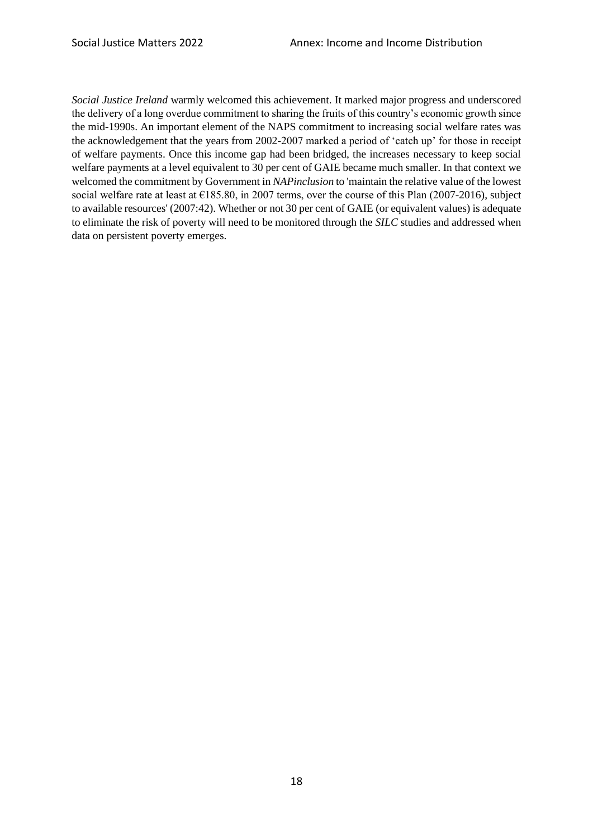*Social Justice Ireland* warmly welcomed this achievement. It marked major progress and underscored the delivery of a long overdue commitment to sharing the fruits of this country's economic growth since the mid-1990s. An important element of the NAPS commitment to increasing social welfare rates was the acknowledgement that the years from 2002-2007 marked a period of 'catch up' for those in receipt of welfare payments. Once this income gap had been bridged, the increases necessary to keep social welfare payments at a level equivalent to 30 per cent of GAIE became much smaller. In that context we welcomed the commitment by Government in *NAPinclusion* to 'maintain the relative value of the lowest social welfare rate at least at  $\epsilon$ 185.80, in 2007 terms, over the course of this Plan (2007-2016), subject to available resources' (2007:42). Whether or not 30 per cent of GAIE (or equivalent values) is adequate to eliminate the risk of poverty will need to be monitored through the *SILC* studies and addressed when data on persistent poverty emerges.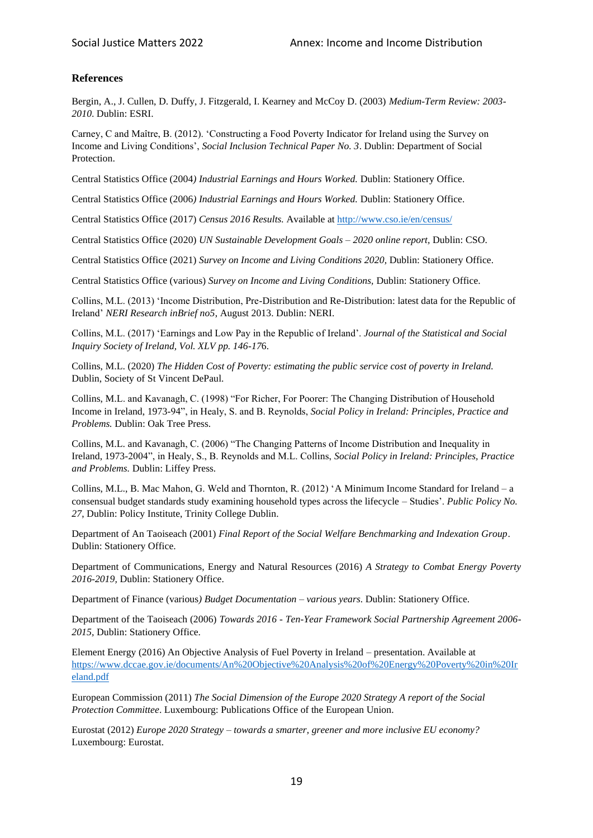## **References**

Bergin, A., J. Cullen, D. Duffy, J. Fitzgerald, I. Kearney and McCoy D. (2003) *Medium-Term Review: 2003- 2010*. Dublin: ESRI.

Carney, C and Maître, B. (2012). 'Constructing a Food Poverty Indicator for Ireland using the Survey on Income and Living Conditions', *Social Inclusion Technical Paper No. 3*. Dublin: Department of Social Protection.

Central Statistics Office (2004*) Industrial Earnings and Hours Worked.* Dublin: Stationery Office.

Central Statistics Office (2006*) Industrial Earnings and Hours Worked.* Dublin: Stationery Office.

Central Statistics Office (2017) *Census 2016 Results.* Available a[t http://www.cso.ie/en/census/](http://www.cso.ie/en/census/)

Central Statistics Office (2020) *UN Sustainable Development Goals – 2020 online report,* Dublin: CSO.

Central Statistics Office (2021) *Survey on Income and Living Conditions 2020,* Dublin: Stationery Office.

Central Statistics Office (various) *Survey on Income and Living Conditions,* Dublin: Stationery Office.

Collins, M.L. (2013) 'Income Distribution, Pre-Distribution and Re-Distribution: latest data for the Republic of Ireland' *NERI Research inBrief no5*, August 2013. Dublin: NERI.

Collins, M.L. (2017) 'Earnings and Low Pay in the Republic of Ireland'. *Journal of the Statistical and Social Inquiry Society of Ireland, Vol. XLV pp. 146-17*6.

Collins, M.L. (2020) *The Hidden Cost of Poverty: estimating the public service cost of poverty in Ireland.*  Dublin, Society of St Vincent DePaul.

Collins, M.L. and Kavanagh, C. (1998) "For Richer, For Poorer: The Changing Distribution of Household Income in Ireland, 1973-94", in Healy, S. and B. Reynolds, *Social Policy in Ireland: Principles, Practice and Problems.* Dublin: Oak Tree Press.

Collins, M.L. and Kavanagh, C. (2006) "The Changing Patterns of Income Distribution and Inequality in Ireland, 1973-2004", in Healy, S., B. Reynolds and M.L. Collins, *Social Policy in Ireland: Principles, Practice and Problems.* Dublin: Liffey Press.

Collins, M.L., B. Mac Mahon, G. Weld and Thornton, R. (2012) 'A Minimum Income Standard for Ireland – a consensual budget standards study examining household types across the lifecycle – Studies'. *Public Policy No. 27*, Dublin: Policy Institute, Trinity College Dublin.

Department of An Taoiseach (2001) *Final Report of the Social Welfare Benchmarking and Indexation Group*. Dublin: Stationery Office.

Department of Communications, Energy and Natural Resources (2016) *A Strategy to Combat Energy Poverty 2016-2019,* Dublin: Stationery Office.

Department of Finance (various*) Budget Documentation – various years*. Dublin: Stationery Office.

Department of the Taoiseach (2006) *Towards 2016 - Ten-Year Framework Social Partnership Agreement 2006- 2015,* Dublin: Stationery Office.

Element Energy (2016) An Objective Analysis of Fuel Poverty in Ireland – presentation. Available at [https://www.dccae.gov.ie/documents/An%20Objective%20Analysis%20of%20Energy%20Poverty%20in%20Ir](https://www.dccae.gov.ie/documents/An%20Objective%20Analysis%20of%20Energy%20Poverty%20in%20Ireland.pdf) [eland.pdf](https://www.dccae.gov.ie/documents/An%20Objective%20Analysis%20of%20Energy%20Poverty%20in%20Ireland.pdf)

European Commission (2011) *The Social Dimension of the Europe 2020 Strategy A report of the Social Protection Committee*. Luxembourg: Publications Office of the European Union.

Eurostat (2012) *Europe 2020 Strategy – towards a smarter, greener and more inclusive EU economy?*  Luxembourg: Eurostat.